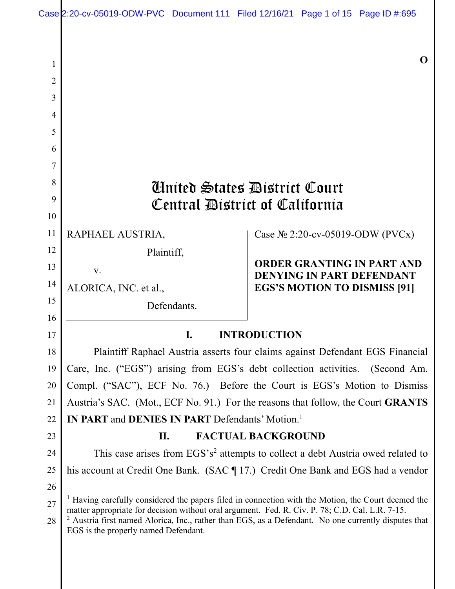| Case $2:20$ -cv-05019-ODW-PVC Document 111 Filed 12/16/21 Page 1 of 15 Page ID #:695 |  |  |
|--------------------------------------------------------------------------------------|--|--|

**O** 

|    |                                                                                                                                                                                                         | v                                                                                                      |  |  |  |  |
|----|---------------------------------------------------------------------------------------------------------------------------------------------------------------------------------------------------------|--------------------------------------------------------------------------------------------------------|--|--|--|--|
| 2  |                                                                                                                                                                                                         |                                                                                                        |  |  |  |  |
| 3  |                                                                                                                                                                                                         |                                                                                                        |  |  |  |  |
| 4  |                                                                                                                                                                                                         |                                                                                                        |  |  |  |  |
| 5  |                                                                                                                                                                                                         |                                                                                                        |  |  |  |  |
| 6  |                                                                                                                                                                                                         |                                                                                                        |  |  |  |  |
| 7  |                                                                                                                                                                                                         |                                                                                                        |  |  |  |  |
| 8  |                                                                                                                                                                                                         | <b><i>Clinited States District Court</i></b>                                                           |  |  |  |  |
| 9  | Central District of California                                                                                                                                                                          |                                                                                                        |  |  |  |  |
| 10 |                                                                                                                                                                                                         |                                                                                                        |  |  |  |  |
| 11 | RAPHAEL AUSTRIA,                                                                                                                                                                                        | Case $N_2$ 2:20-cv-05019-ODW (PVCx)                                                                    |  |  |  |  |
| 12 | Plaintiff,                                                                                                                                                                                              |                                                                                                        |  |  |  |  |
| 13 | V.                                                                                                                                                                                                      | <b>ORDER GRANTING IN PART AND</b><br><b>DENYING IN PART DEFENDANT</b>                                  |  |  |  |  |
| 14 | ALORICA, INC. et al.,                                                                                                                                                                                   | <b>EGS'S MOTION TO DISMISS [91]</b>                                                                    |  |  |  |  |
| 15 | Defendants.                                                                                                                                                                                             |                                                                                                        |  |  |  |  |
| 16 |                                                                                                                                                                                                         |                                                                                                        |  |  |  |  |
| 17 | <b>INTRODUCTION</b><br>$\mathbf{I}$ .                                                                                                                                                                   |                                                                                                        |  |  |  |  |
| 18 | Plaintiff Raphael Austria asserts four claims against Defendant EGS Financial                                                                                                                           |                                                                                                        |  |  |  |  |
| 19 | Care, Inc. ("EGS") arising from EGS's debt collection activities. (Second Am.                                                                                                                           |                                                                                                        |  |  |  |  |
| 20 | Compl. ("SAC"), ECF No. 76.) Before the Court is EGS's Motion to Dismiss                                                                                                                                |                                                                                                        |  |  |  |  |
| 21 | Austria's SAC. (Mot., ECF No. 91.) For the reasons that follow, the Court GRANTS                                                                                                                        |                                                                                                        |  |  |  |  |
| 22 | <b>IN PART and DENIES IN PART Defendants' Motion.</b> <sup>1</sup>                                                                                                                                      |                                                                                                        |  |  |  |  |
| 23 | <b>FACTUAL BACKGROUND</b><br>П.                                                                                                                                                                         |                                                                                                        |  |  |  |  |
| 24 | This case arises from EGS's <sup>2</sup> attempts to collect a debt Austria owed related to                                                                                                             |                                                                                                        |  |  |  |  |
| 25 | his account at Credit One Bank. (SAC 17.) Credit One Bank and EGS had a vendor                                                                                                                          |                                                                                                        |  |  |  |  |
| 26 |                                                                                                                                                                                                         |                                                                                                        |  |  |  |  |
| 27 | $1$ Having carefully considered the papers filed in connection with the Motion, the Court deemed the<br>matter appropriate for decision without oral argument. Fed. R. Civ. P. 78; C.D. Cal. L.R. 7-15. |                                                                                                        |  |  |  |  |
| 28 | EGS is the properly named Defendant.                                                                                                                                                                    | $2$ Austria first named Alorica, Inc., rather than EGS, as a Defendant. No one currently disputes that |  |  |  |  |
|    |                                                                                                                                                                                                         |                                                                                                        |  |  |  |  |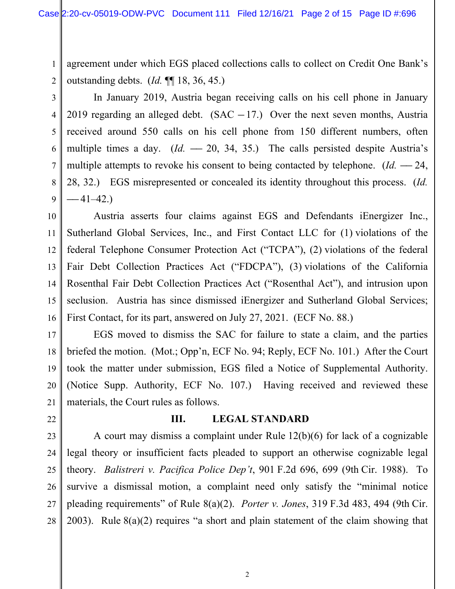agreement under which EGS placed collections calls to collect on Credit One Bank's outstanding debts. (*Id.* ¶¶ 18, 36, 45.)

2 3

4

5

6

7

8

9

10

11

12

13

14

15

16

21

22

27

1

In January 2019, Austria began receiving calls on his cell phone in January 2019 regarding an alleged debt.  $(SAC - 17)$  Over the next seven months, Austria received around 550 calls on his cell phone from 150 different numbers, often multiple times a day. (*Id.* - 20, 34, 35.) The calls persisted despite Austria's multiple attempts to revoke his consent to being contacted by telephone.  $(Id. - 24, ...)$ 28, 32.) EGS misrepresented or concealed its identity throughout this process. (*Id.*  $-41-42.$ 

Austria asserts four claims against EGS and Defendants iEnergizer Inc., Sutherland Global Services, Inc., and First Contact LLC for (1) violations of the federal Telephone Consumer Protection Act ("TCPA"), (2) violations of the federal Fair Debt Collection Practices Act ("FDCPA"), (3) violations of the California Rosenthal Fair Debt Collection Practices Act ("Rosenthal Act"), and intrusion upon seclusion. Austria has since dismissed iEnergizer and Sutherland Global Services; First Contact, for its part, answered on July 27, 2021. (ECF No. 88.)

17 18 19 20 EGS moved to dismiss the SAC for failure to state a claim, and the parties briefed the motion. (Mot.; Opp'n, ECF No. 94; Reply, ECF No. 101.) After the Court took the matter under submission, EGS filed a Notice of Supplemental Authority. (Notice Supp. Authority, ECF No. 107.) Having received and reviewed these materials, the Court rules as follows.

## **III. LEGAL STANDARD**

23 24 25 26 28 A court may dismiss a complaint under Rule 12(b)(6) for lack of a cognizable legal theory or insufficient facts pleaded to support an otherwise cognizable legal theory. *Balistreri v. Pacifica Police Dep't*, 901 F.2d 696, 699 (9th Cir. 1988). To survive a dismissal motion, a complaint need only satisfy the "minimal notice pleading requirements" of Rule 8(a)(2). *Porter v. Jones*, 319 F.3d 483, 494 (9th Cir. 2003). Rule 8(a)(2) requires "a short and plain statement of the claim showing that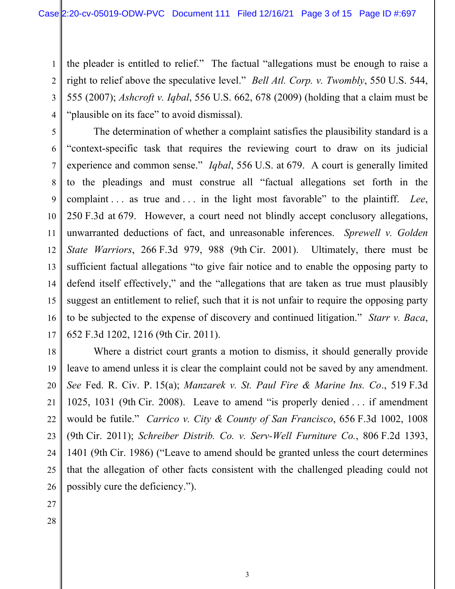3 4 the pleader is entitled to relief." The factual "allegations must be enough to raise a right to relief above the speculative level." *Bell Atl. Corp. v. Twombly*, 550 U.S. 544, 555 (2007); *Ashcroft v. Iqbal*, 556 U.S. 662, 678 (2009) (holding that a claim must be "plausible on its face" to avoid dismissal).

5 6 7 8 9 12 13 The determination of whether a complaint satisfies the plausibility standard is a "context-specific task that requires the reviewing court to draw on its judicial experience and common sense." *Iqbal*, 556 U.S. at 679. A court is generally limited to the pleadings and must construe all "factual allegations set forth in the complaint . . . as true and . . . in the light most favorable" to the plaintiff. *Lee*, 250 F.3d at 679. However, a court need not blindly accept conclusory allegations, unwarranted deductions of fact, and unreasonable inferences. *Sprewell v. Golden State Warriors*, 266 F.3d 979, 988 (9th Cir. 2001).Ultimately, there must be sufficient factual allegations "to give fair notice and to enable the opposing party to defend itself effectively," and the "allegations that are taken as true must plausibly suggest an entitlement to relief, such that it is not unfair to require the opposing party to be subjected to the expense of discovery and continued litigation." *Starr v. Baca*, 652 F.3d 1202, 1216 (9th Cir. 2011).

18 19 20 21 22 23 24 25 Where a district court grants a motion to dismiss, it should generally provide leave to amend unless it is clear the complaint could not be saved by any amendment. *See* Fed. R. Civ. P. 15(a); *Manzarek v. St. Paul Fire & Marine Ins. Co*., 519 F.3d 1025, 1031 (9th Cir. 2008). Leave to amend "is properly denied . . . if amendment would be futile." *Carrico v. City & County of San Francisco*, 656 F.3d 1002, 1008 (9th Cir. 2011); *Schreiber Distrib. Co. v. Serv-Well Furniture Co.*, 806 F.2d 1393, 1401 (9th Cir. 1986) ("Leave to amend should be granted unless the court determines that the allegation of other facts consistent with the challenged pleading could not possibly cure the deficiency.").

26 27

1

2

10

11

14

15

16

17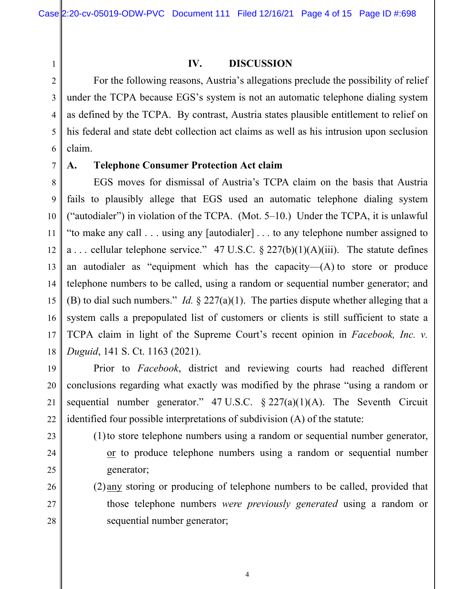# 1 2 3

7

9

10

11

12

13

14

15

16

17

19

20

21

22

23

24

25

26

27

28

#### **IV. DISCUSSION**

4 5 6 For the following reasons, Austria's allegations preclude the possibility of relief under the TCPA because EGS's system is not an automatic telephone dialing system as defined by the TCPA. By contrast, Austria states plausible entitlement to relief on his federal and state debt collection act claims as well as his intrusion upon seclusion claim.

## **A. Telephone Consumer Protection Act claim**

8 18 EGS moves for dismissal of Austria's TCPA claim on the basis that Austria fails to plausibly allege that EGS used an automatic telephone dialing system ("autodialer") in violation of the TCPA. (Mot. 5–10.) Under the TCPA, it is unlawful "to make any call . . . using any [autodialer] . . . to any telephone number assigned to a ... cellular telephone service." 47 U.S.C.  $\S 227(b)(1)(A)(iii)$ . The statute defines an autodialer as "equipment which has the capacity— $(A)$  to store or produce telephone numbers to be called, using a random or sequential number generator; and (B) to dial such numbers." *Id.* § 227(a)(1). The parties dispute whether alleging that a system calls a prepopulated list of customers or clients is still sufficient to state a TCPA claim in light of the Supreme Court's recent opinion in *Facebook, Inc. v. Duguid*, 141 S. Ct. 1163 (2021).

Prior to *Facebook*, district and reviewing courts had reached different conclusions regarding what exactly was modified by the phrase "using a random or sequential number generator."  $47 \text{ U.S.C.} \& 227(a)(1)(\text{A})$ . The Seventh Circuit identified four possible interpretations of subdivision (A) of the statute:

- (1)to store telephone numbers using a random or sequential number generator, or to produce telephone numbers using a random or sequential number generator;
	- (2) any storing or producing of telephone numbers to be called, provided that those telephone numbers *were previously generated* using a random or sequential number generator;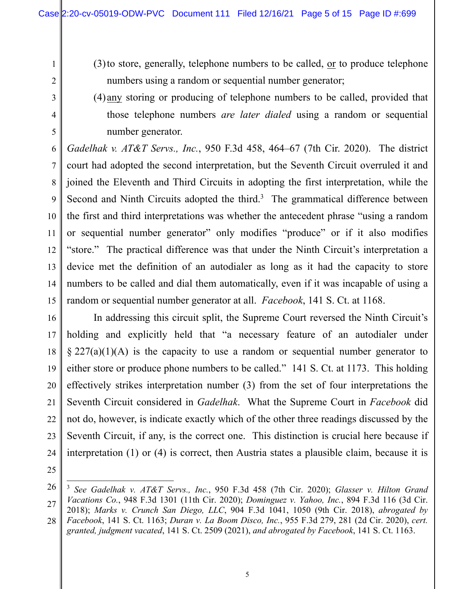- (3) to store, generally, telephone numbers to be called,  $or$  to produce telephone</u> numbers using a random or sequential number generator;
- (4) any storing or producing of telephone numbers to be called, provided that those telephone numbers *are later dialed* using a random or sequential number generator.

*Gadelhak v. AT&T Servs., Inc.*, 950 F.3d 458, 464–67 (7th Cir. 2020). The district court had adopted the second interpretation, but the Seventh Circuit overruled it and joined the Eleventh and Third Circuits in adopting the first interpretation, while the Second and Ninth Circuits adopted the third. $3$  The grammatical difference between the first and third interpretations was whether the antecedent phrase "using a random or sequential number generator" only modifies "produce" or if it also modifies "store." The practical difference was that under the Ninth Circuit's interpretation a device met the definition of an autodialer as long as it had the capacity to store numbers to be called and dial them automatically, even if it was incapable of using a random or sequential number generator at all. *Facebook*, 141 S. Ct. at 1168.

16 17 18 19 20 21 22 23 24 In addressing this circuit split, the Supreme Court reversed the Ninth Circuit's holding and explicitly held that "a necessary feature of an autodialer under  $\S 227(a)(1)(A)$  is the capacity to use a random or sequential number generator to either store or produce phone numbers to be called." 141 S. Ct. at 1173. This holding effectively strikes interpretation number (3) from the set of four interpretations the Seventh Circuit considered in *Gadelhak*. What the Supreme Court in *Facebook* did not do, however, is indicate exactly which of the other three readings discussed by the Seventh Circuit, if any, is the correct one. This distinction is crucial here because if interpretation (1) or (4) is correct, then Austria states a plausible claim, because it is

25

1

2

3

4

5

6

7

8

9

10

11

12

13

14

<sup>26</sup> 27 <sup>3</sup> *See Gadelhak v. AT&T Servs., Inc.*, 950 F.3d 458 (7th Cir. 2020); *Glasser v. Hilton Grand Vacations Co.*, 948 F.3d 1301 (11th Cir. 2020); *Dominguez v. Yahoo, Inc.*, 894 F.3d 116 (3d Cir. 2018); *Marks v. Crunch San Diego, LLC*, 904 F.3d 1041, 1050 (9th Cir. 2018), *abrogated by* 

<sup>28</sup> *Facebook*, 141 S. Ct. 1163; *Duran v. La Boom Disco, Inc.*, 955 F.3d 279, 281 (2d Cir. 2020), *cert. granted, judgment vacated*, 141 S. Ct. 2509 (2021), *and abrogated by Facebook*, 141 S. Ct. 1163.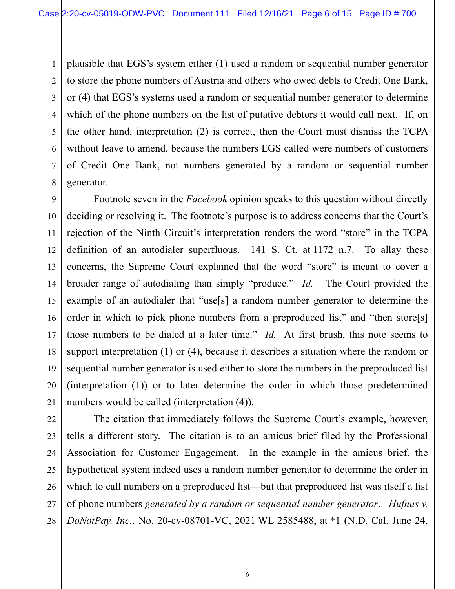1 2 3 4 plausible that EGS's system either (1) used a random or sequential number generator to store the phone numbers of Austria and others who owed debts to Credit One Bank, or (4) that EGS's systems used a random or sequential number generator to determine which of the phone numbers on the list of putative debtors it would call next. If, on the other hand, interpretation (2) is correct, then the Court must dismiss the TCPA without leave to amend, because the numbers EGS called were numbers of customers of Credit One Bank, not numbers generated by a random or sequential number generator.

 Footnote seven in the *Facebook* opinion speaks to this question without directly deciding or resolving it. The footnote's purpose is to address concerns that the Court's rejection of the Ninth Circuit's interpretation renders the word "store" in the TCPA definition of an autodialer superfluous. 141 S. Ct. at 1172 n.7. To allay these concerns, the Supreme Court explained that the word "store" is meant to cover a broader range of autodialing than simply "produce." *Id.* The Court provided the example of an autodialer that "use[s] a random number generator to determine the order in which to pick phone numbers from a preproduced list" and "then store[s] those numbers to be dialed at a later time." *Id.* At first brush, this note seems to support interpretation (1) or (4), because it describes a situation where the random or sequential number generator is used either to store the numbers in the preproduced list (interpretation (1)) or to later determine the order in which those predetermined numbers would be called (interpretation (4)).

The citation that immediately follows the Supreme Court's example, however, tells a different story. The citation is to an amicus brief filed by the Professional Association for Customer Engagement. In the example in the amicus brief, the hypothetical system indeed uses a random number generator to determine the order in which to call numbers on a preproduced list—but that preproduced list was itself a list of phone numbers *generated by a random or sequential number generator*. *Hufnus v. DoNotPay, Inc.*, No. 20-cv-08701-VC, 2021 WL 2585488, at \*1 (N.D. Cal. June 24,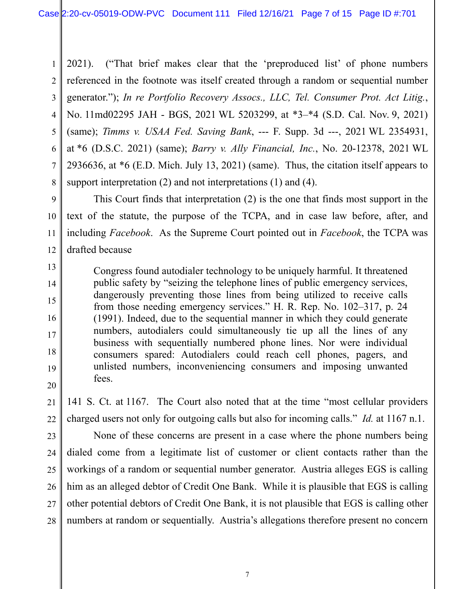1 2 3 4 5 6 7 8 2021). ("That brief makes clear that the 'preproduced list' of phone numbers referenced in the footnote was itself created through a random or sequential number generator."); *In re Portfolio Recovery Assocs., LLC, Tel. Consumer Prot. Act Litig.*, No. 11md02295 JAH - BGS, 2021 WL 5203299, at \*3–\*4 (S.D. Cal. Nov. 9, 2021) (same); *Timms v. USAA Fed. Saving Bank*, --- F. Supp. 3d ---, 2021 WL 2354931, at \*6 (D.S.C. 2021) (same); *Barry v. Ally Financial, Inc.*, No. 20-12378, 2021 WL 2936636, at \*6 (E.D. Mich. July 13, 2021) (same). Thus, the citation itself appears to support interpretation (2) and not interpretations (1) and (4).

 This Court finds that interpretation (2) is the one that finds most support in the text of the statute, the purpose of the TCPA, and in case law before, after, and including *Facebook*. As the Supreme Court pointed out in *Facebook*, the TCPA was drafted because

Congress found autodialer technology to be uniquely harmful. It threatened public safety by "seizing the telephone lines of public emergency services, dangerously preventing those lines from being utilized to receive calls from those needing emergency services." H. R. Rep. No. 102–317, p. 24 (1991). Indeed, due to the sequential manner in which they could generate numbers, autodialers could simultaneously tie up all the lines of any business with sequentially numbered phone lines. Nor were individual consumers spared: Autodialers could reach cell phones, pagers, and unlisted numbers, inconveniencing consumers and imposing unwanted fees.

141 S. Ct. at 1167. The Court also noted that at the time "most cellular providers charged users not only for outgoing calls but also for incoming calls." *Id.* at 1167 n.1.

27 28 None of these concerns are present in a case where the phone numbers being dialed come from a legitimate list of customer or client contacts rather than the workings of a random or sequential number generator. Austria alleges EGS is calling him as an alleged debtor of Credit One Bank. While it is plausible that EGS is calling other potential debtors of Credit One Bank, it is not plausible that EGS is calling other numbers at random or sequentially. Austria's allegations therefore present no concern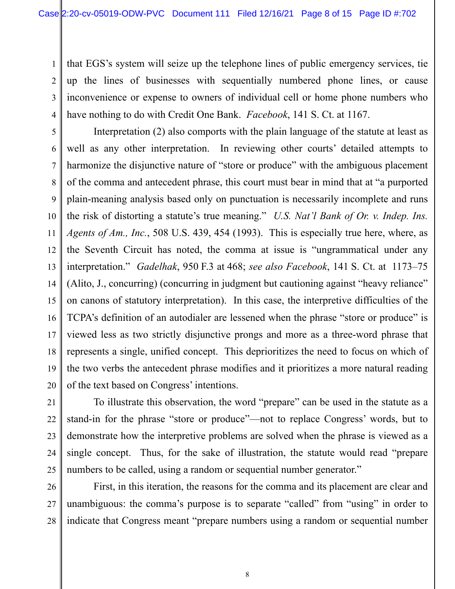1 2 3 4 that EGS's system will seize up the telephone lines of public emergency services, tie up the lines of businesses with sequentially numbered phone lines, or cause inconvenience or expense to owners of individual cell or home phone numbers who have nothing to do with Credit One Bank. *Facebook*, 141 S. Ct. at 1167.

5 6 7 8 9 10 11 12 13 14 15 16 17 18 19 Interpretation (2) also comports with the plain language of the statute at least as well as any other interpretation. In reviewing other courts' detailed attempts to harmonize the disjunctive nature of "store or produce" with the ambiguous placement of the comma and antecedent phrase, this court must bear in mind that at "a purported plain-meaning analysis based only on punctuation is necessarily incomplete and runs the risk of distorting a statute's true meaning." *U.S. Nat'l Bank of Or. v. Indep. Ins. Agents of Am., Inc.*, 508 U.S. 439, 454 (1993). This is especially true here, where, as the Seventh Circuit has noted, the comma at issue is "ungrammatical under any interpretation." *Gadelhak*, 950 F.3 at 468; *see also Facebook*, 141 S. Ct. at 1173–75 (Alito, J., concurring) (concurring in judgment but cautioning against "heavy reliance" on canons of statutory interpretation). In this case, the interpretive difficulties of the TCPA's definition of an autodialer are lessened when the phrase "store or produce" is viewed less as two strictly disjunctive prongs and more as a three-word phrase that represents a single, unified concept. This deprioritizes the need to focus on which of the two verbs the antecedent phrase modifies and it prioritizes a more natural reading of the text based on Congress' intentions.

To illustrate this observation, the word "prepare" can be used in the statute as a stand-in for the phrase "store or produce"—not to replace Congress' words, but to demonstrate how the interpretive problems are solved when the phrase is viewed as a single concept. Thus, for the sake of illustration, the statute would read "prepare numbers to be called, using a random or sequential number generator."

First, in this iteration, the reasons for the comma and its placement are clear and unambiguous: the comma's purpose is to separate "called" from "using" in order to indicate that Congress meant "prepare numbers using a random or sequential number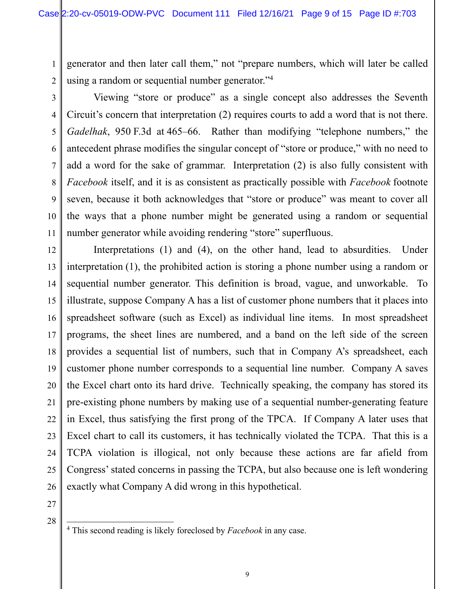generator and then later call them," not "prepare numbers, which will later be called using a random or sequential number generator."<sup>4</sup>

2 3

4

5

6

7

8

9

10

11

1

Viewing "store or produce" as a single concept also addresses the Seventh Circuit's concern that interpretation (2) requires courts to add a word that is not there. *Gadelhak*, 950 F.3d at 465–66. Rather than modifying "telephone numbers," the antecedent phrase modifies the singular concept of "store or produce," with no need to add a word for the sake of grammar. Interpretation (2) is also fully consistent with *Facebook* itself, and it is as consistent as practically possible with *Facebook* footnote seven, because it both acknowledges that "store or produce" was meant to cover all the ways that a phone number might be generated using a random or sequential number generator while avoiding rendering "store" superfluous.

12 13 14 15 16 17 18 19 20 21 22 23 24 25 26 Interpretations (1) and (4), on the other hand, lead to absurdities. Under interpretation (1), the prohibited action is storing a phone number using a random or sequential number generator. This definition is broad, vague, and unworkable. To illustrate, suppose Company A has a list of customer phone numbers that it places into spreadsheet software (such as Excel) as individual line items. In most spreadsheet programs, the sheet lines are numbered, and a band on the left side of the screen provides a sequential list of numbers, such that in Company A's spreadsheet, each customer phone number corresponds to a sequential line number. Company A saves the Excel chart onto its hard drive. Technically speaking, the company has stored its pre-existing phone numbers by making use of a sequential number-generating feature in Excel, thus satisfying the first prong of the TPCA. If Company A later uses that Excel chart to call its customers, it has technically violated the TCPA. That this is a TCPA violation is illogical, not only because these actions are far afield from Congress' stated concerns in passing the TCPA, but also because one is left wondering exactly what Company A did wrong in this hypothetical.

- 27
- 28

<sup>4</sup> This second reading is likely foreclosed by *Facebook* in any case.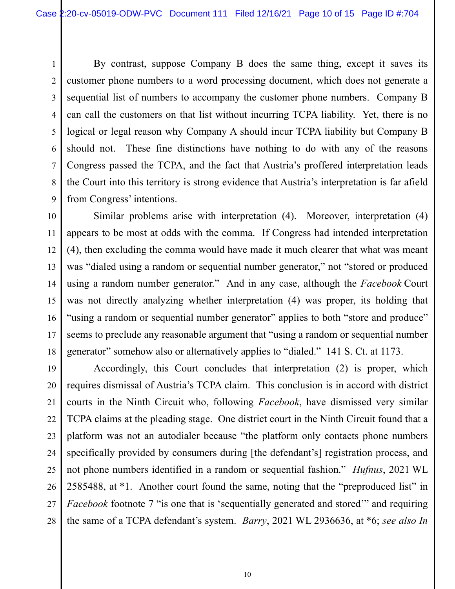2

1 3 4 5 6 7 8 9 By contrast, suppose Company B does the same thing, except it saves its customer phone numbers to a word processing document, which does not generate a sequential list of numbers to accompany the customer phone numbers. Company B can call the customers on that list without incurring TCPA liability. Yet, there is no logical or legal reason why Company A should incur TCPA liability but Company B should not. These fine distinctions have nothing to do with any of the reasons Congress passed the TCPA, and the fact that Austria's proffered interpretation leads the Court into this territory is strong evidence that Austria's interpretation is far afield from Congress' intentions.

10 11 12 13 14 15 16 17 18 Similar problems arise with interpretation (4). Moreover, interpretation (4) appears to be most at odds with the comma. If Congress had intended interpretation (4), then excluding the comma would have made it much clearer that what was meant was "dialed using a random or sequential number generator," not "stored or produced using a random number generator." And in any case, although the *Facebook* Court was not directly analyzing whether interpretation (4) was proper, its holding that "using a random or sequential number generator" applies to both "store and produce" seems to preclude any reasonable argument that "using a random or sequential number generator" somehow also or alternatively applies to "dialed." 141 S. Ct. at 1173.

19 20 21 22 23 24 25 26 27 28 Accordingly, this Court concludes that interpretation (2) is proper, which requires dismissal of Austria's TCPA claim. This conclusion is in accord with district courts in the Ninth Circuit who, following *Facebook*, have dismissed very similar TCPA claims at the pleading stage. One district court in the Ninth Circuit found that a platform was not an autodialer because "the platform only contacts phone numbers specifically provided by consumers during [the defendant's] registration process, and not phone numbers identified in a random or sequential fashion." *Hufnus*, 2021 WL 2585488, at \*1. Another court found the same, noting that the "preproduced list" in *Facebook* footnote 7 "is one that is 'sequentially generated and stored" and requiring the same of a TCPA defendant's system. *Barry*, 2021 WL 2936636, at \*6; *see also In*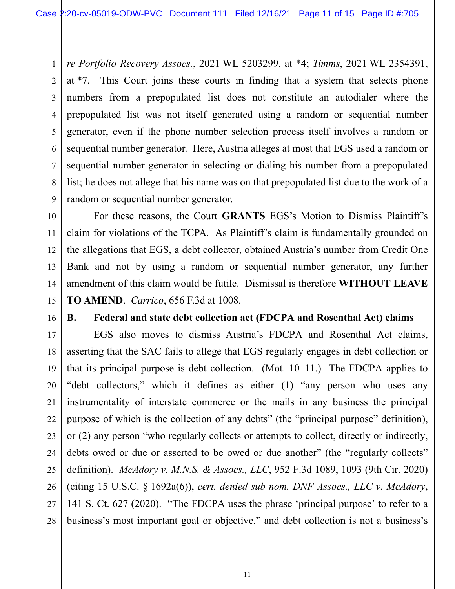1 2 3 4 5 6 7 8 9 *re Portfolio Recovery Assocs.*, 2021 WL 5203299, at \*4; *Timms*, 2021 WL 2354391, at \*7. This Court joins these courts in finding that a system that selects phone numbers from a prepopulated list does not constitute an autodialer where the prepopulated list was not itself generated using a random or sequential number generator, even if the phone number selection process itself involves a random or sequential number generator. Here, Austria alleges at most that EGS used a random or sequential number generator in selecting or dialing his number from a prepopulated list; he does not allege that his name was on that prepopulated list due to the work of a random or sequential number generator.

 For these reasons, the Court **GRANTS** EGS's Motion to Dismiss Plaintiff's claim for violations of the TCPA. As Plaintiff's claim is fundamentally grounded on the allegations that EGS, a debt collector, obtained Austria's number from Credit One Bank and not by using a random or sequential number generator, any further amendment of this claim would be futile. Dismissal is therefore **WITHOUT LEAVE TO AMEND**. *Carrico*, 656 F.3d at 1008.

16

10

11

12

13

14

15

## **B. Federal and state debt collection act (FDCPA and Rosenthal Act) claims**

17 18 19 20 21 22 23 24 25 26 27 28 EGS also moves to dismiss Austria's FDCPA and Rosenthal Act claims, asserting that the SAC fails to allege that EGS regularly engages in debt collection or that its principal purpose is debt collection. (Mot. 10–11.) The FDCPA applies to "debt collectors," which it defines as either (1) "any person who uses any instrumentality of interstate commerce or the mails in any business the principal purpose of which is the collection of any debts" (the "principal purpose" definition), or (2) any person "who regularly collects or attempts to collect, directly or indirectly, debts owed or due or asserted to be owed or due another" (the "regularly collects" definition). *McAdory v. M.N.S. & Assocs., LLC*, 952 F.3d 1089, 1093 (9th Cir. 2020) (citing 15 U.S.C. § 1692a(6)), *cert. denied sub nom. DNF Assocs., LLC v. McAdory*, 141 S. Ct. 627 (2020). "The FDCPA uses the phrase 'principal purpose' to refer to a business's most important goal or objective," and debt collection is not a business's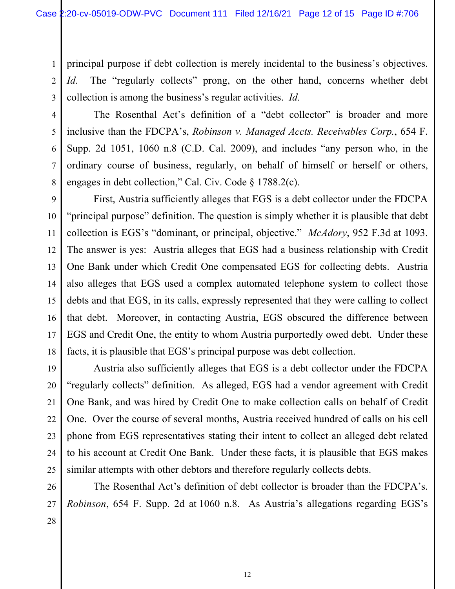principal purpose if debt collection is merely incidental to the business's objectives. *Id.* The "regularly collects" prong, on the other hand, concerns whether debt collection is among the business's regular activities. *Id.*

The Rosenthal Act's definition of a "debt collector" is broader and more inclusive than the FDCPA's, *Robinson v. Managed Accts. Receivables Corp.*, 654 F. Supp. 2d 1051, 1060 n.8 (C.D. Cal. 2009), and includes "any person who, in the ordinary course of business, regularly, on behalf of himself or herself or others, engages in debt collection," Cal. Civ. Code § 1788.2(c).

 First, Austria sufficiently alleges that EGS is a debt collector under the FDCPA "principal purpose" definition. The question is simply whether it is plausible that debt collection is EGS's "dominant, or principal, objective." *McAdory*, 952 F.3d at 1093. The answer is yes: Austria alleges that EGS had a business relationship with Credit One Bank under which Credit One compensated EGS for collecting debts. Austria also alleges that EGS used a complex automated telephone system to collect those debts and that EGS, in its calls, expressly represented that they were calling to collect that debt. Moreover, in contacting Austria, EGS obscured the difference between EGS and Credit One, the entity to whom Austria purportedly owed debt. Under these facts, it is plausible that EGS's principal purpose was debt collection.

Austria also sufficiently alleges that EGS is a debt collector under the FDCPA "regularly collects" definition. As alleged, EGS had a vendor agreement with Credit One Bank, and was hired by Credit One to make collection calls on behalf of Credit One. Over the course of several months, Austria received hundred of calls on his cell phone from EGS representatives stating their intent to collect an alleged debt related to his account at Credit One Bank. Under these facts, it is plausible that EGS makes similar attempts with other debtors and therefore regularly collects debts.

The Rosenthal Act's definition of debt collector is broader than the FDCPA's. *Robinson*, 654 F. Supp. 2d at 1060 n.8. As Austria's allegations regarding EGS's

1

2

3

4

5

6

7

8

9

10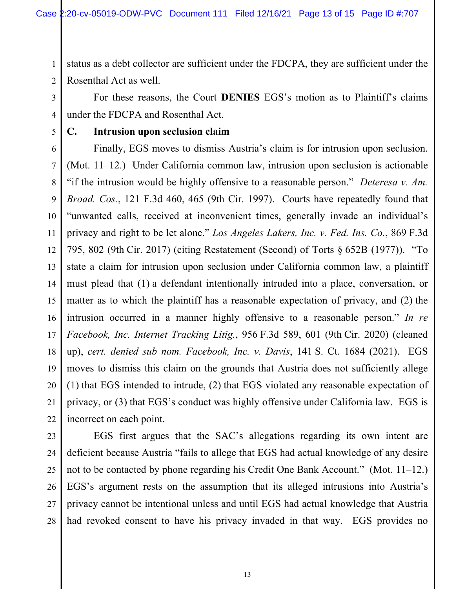1 2 status as a debt collector are sufficient under the FDCPA, they are sufficient under the Rosenthal Act as well.

 For these reasons, the Court **DENIES** EGS's motion as to Plaintiff's claims under the FDCPA and Rosenthal Act.

## **C. Intrusion upon seclusion claim**

6 7 8 Finally, EGS moves to dismiss Austria's claim is for intrusion upon seclusion. (Mot. 11–12.) Under California common law, intrusion upon seclusion is actionable "if the intrusion would be highly offensive to a reasonable person." *Deteresa v. Am. Broad. Cos.*, 121 F.3d 460, 465 (9th Cir. 1997). Courts have repeatedly found that "unwanted calls, received at inconvenient times, generally invade an individual's privacy and right to be let alone." *Los Angeles Lakers, Inc. v. Fed. Ins. Co.*, 869 F.3d 795, 802 (9th Cir. 2017) (citing Restatement (Second) of Torts § 652B (1977)). "To state a claim for intrusion upon seclusion under California common law, a plaintiff must plead that (1) a defendant intentionally intruded into a place, conversation, or matter as to which the plaintiff has a reasonable expectation of privacy, and (2) the intrusion occurred in a manner highly offensive to a reasonable person." *In re Facebook, Inc. Internet Tracking Litig.*, 956 F.3d 589, 601 (9th Cir. 2020) (cleaned up), *cert. denied sub nom. Facebook, Inc. v. Davis*, 141 S. Ct. 1684 (2021). EGS moves to dismiss this claim on the grounds that Austria does not sufficiently allege (1) that EGS intended to intrude, (2) that EGS violated any reasonable expectation of privacy, or (3) that EGS's conduct was highly offensive under California law. EGS is incorrect on each point.

3

4

5

EGS first argues that the SAC's allegations regarding its own intent are deficient because Austria "fails to allege that EGS had actual knowledge of any desire not to be contacted by phone regarding his Credit One Bank Account." (Mot. 11–12.) EGS's argument rests on the assumption that its alleged intrusions into Austria's privacy cannot be intentional unless and until EGS had actual knowledge that Austria had revoked consent to have his privacy invaded in that way. EGS provides no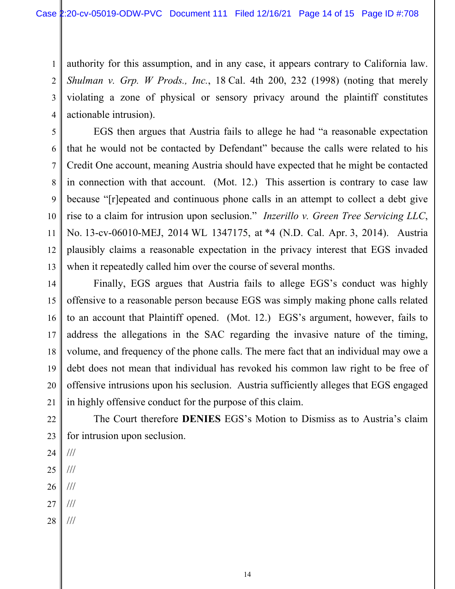3 4 authority for this assumption, and in any case, it appears contrary to California law. *Shulman v. Grp. W Prods., Inc.*, 18 Cal. 4th 200, 232 (1998) (noting that merely violating a zone of physical or sensory privacy around the plaintiff constitutes actionable intrusion).

EGS then argues that Austria fails to allege he had "a reasonable expectation that he would not be contacted by Defendant" because the calls were related to his Credit One account, meaning Austria should have expected that he might be contacted in connection with that account. (Mot. 12.) This assertion is contrary to case law because "[r]epeated and continuous phone calls in an attempt to collect a debt give rise to a claim for intrusion upon seclusion." *Inzerillo v. Green Tree Servicing LLC*, No. 13-cv-06010-MEJ, 2014 WL 1347175, at \*4 (N.D. Cal. Apr. 3, 2014). Austria plausibly claims a reasonable expectation in the privacy interest that EGS invaded when it repeatedly called him over the course of several months.

14 15 16 17 18 19 20 21 Finally, EGS argues that Austria fails to allege EGS's conduct was highly offensive to a reasonable person because EGS was simply making phone calls related to an account that Plaintiff opened. (Mot. 12.) EGS's argument, however, fails to address the allegations in the SAC regarding the invasive nature of the timing, volume, and frequency of the phone calls. The mere fact that an individual may owe a debt does not mean that individual has revoked his common law right to be free of offensive intrusions upon his seclusion. Austria sufficiently alleges that EGS engaged in highly offensive conduct for the purpose of this claim.

22 23 The Court therefore **DENIES** EGS's Motion to Dismiss as to Austria's claim for intrusion upon seclusion.

24 ///

1

2

5

6

7

8

9

10

11

12

- 25 ///
- 26 ///
- 27 ///
- 28 ///